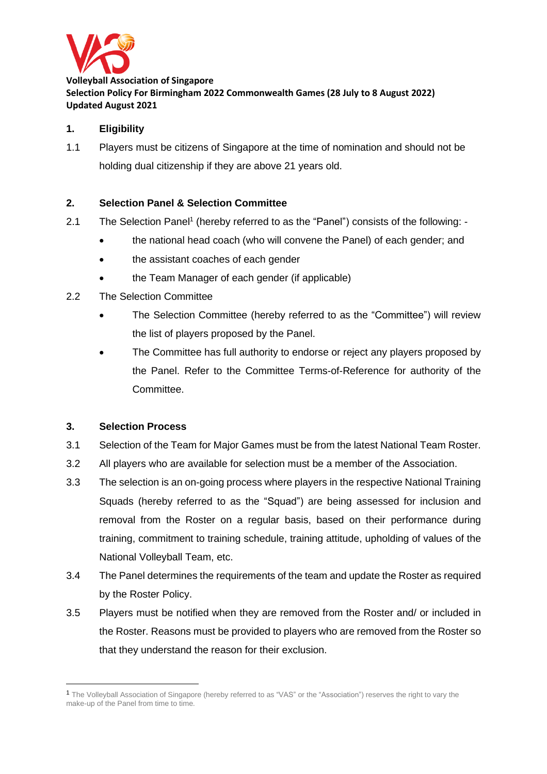

**Volleyball Association of Singapore Selection Policy For Birmingham 2022 Commonwealth Games (28 July to 8 August 2022) Updated August 2021**

## **1. Eligibility**

1.1 Players must be citizens of Singapore at the time of nomination and should not be holding dual citizenship if they are above 21 years old.

### **2. Selection Panel & Selection Committee**

- 2.1 The Selection Panel<sup>1</sup> (hereby referred to as the "Panel") consists of the following: -
	- the national head coach (who will convene the Panel) of each gender; and
	- the assistant coaches of each gender
	- the Team Manager of each gender (if applicable)
- 2.2 The Selection Committee
	- The Selection Committee (hereby referred to as the "Committee") will review the list of players proposed by the Panel.
	- The Committee has full authority to endorse or reject any players proposed by the Panel. Refer to the Committee Terms-of-Reference for authority of the Committee.

#### **3. Selection Process**

- 3.1 Selection of the Team for Major Games must be from the latest National Team Roster.
- 3.2 All players who are available for selection must be a member of the Association.
- 3.3 The selection is an on-going process where players in the respective National Training Squads (hereby referred to as the "Squad") are being assessed for inclusion and removal from the Roster on a regular basis, based on their performance during training, commitment to training schedule, training attitude, upholding of values of the National Volleyball Team, etc.
- 3.4 The Panel determines the requirements of the team and update the Roster as required by the Roster Policy.
- 3.5 Players must be notified when they are removed from the Roster and/ or included in the Roster. Reasons must be provided to players who are removed from the Roster so that they understand the reason for their exclusion.

<sup>1</sup> The Volleyball Association of Singapore (hereby referred to as "VAS" or the "Association") reserves the right to vary the make-up of the Panel from time to time.